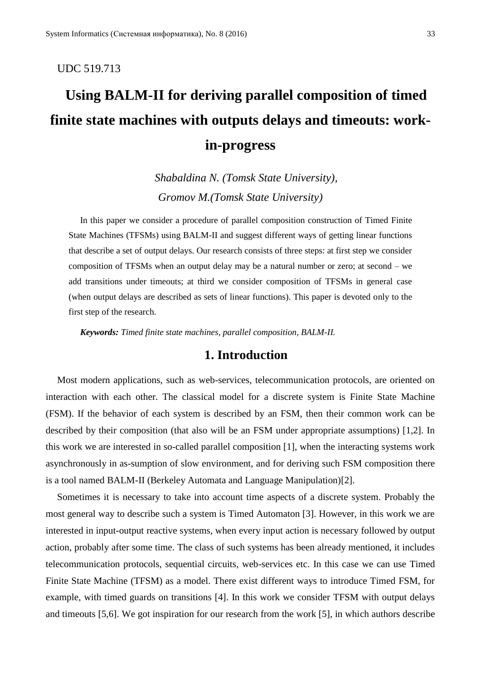### UDC 519.713

# **Using BALM-II for deriving parallel composition of timed finite state machines with outputs delays and timeouts: workin-progress**

*Shabaldina N. (Tomsk State University), Gromov M.(Tomsk State University)*

In this paper we consider a procedure of parallel composition construction of Timed Finite State Machines (TFSMs) using BALM-II and suggest different ways of getting linear functions that describe a set of output delays. Our research consists of three steps: at first step we consider composition of TFSMs when an output delay may be a natural number or zero; at second – we add transitions under timeouts; at third we consider composition of TFSMs in general case (when output delays are described as sets of linear functions). This paper is devoted only to the first step of the research.

*Keywords: Timed finite state machines, parallel composition, BALM-II.*

# **1. Introduction**

Most modern applications, such as web-services, telecommunication protocols, are oriented on interaction with each other. The classical model for a discrete system is Finite State Machine (FSM). If the behavior of each system is described by an FSM, then their common work can be described by their composition (that also will be an FSM under appropriate assumptions) [1,2]. In this work we are interested in so-called parallel composition [1], when the interacting systems work asynchronously in as-sumption of slow environment, and for deriving such FSM composition there is a tool named BALM-II (Berkeley Automata and Language Manipulation)[2].

Sometimes it is necessary to take into account time aspects of a discrete system. Probably the most general way to describe such a system is Timed Automaton [3]. However, in this work we are interested in input-output reactive systems, when every input action is necessary followed by output action, probably after some time. The class of such systems has been already mentioned, it includes telecommunication protocols, sequential circuits, web-services etc. In this case we can use Timed Finite State Machine (TFSM) as a model. There exist different ways to introduce Timed FSM, for example, with timed guards on transitions [4]. In this work we consider TFSM with output delays and timeouts [5,6]. We got inspiration for our research from the work [5], in which authors describe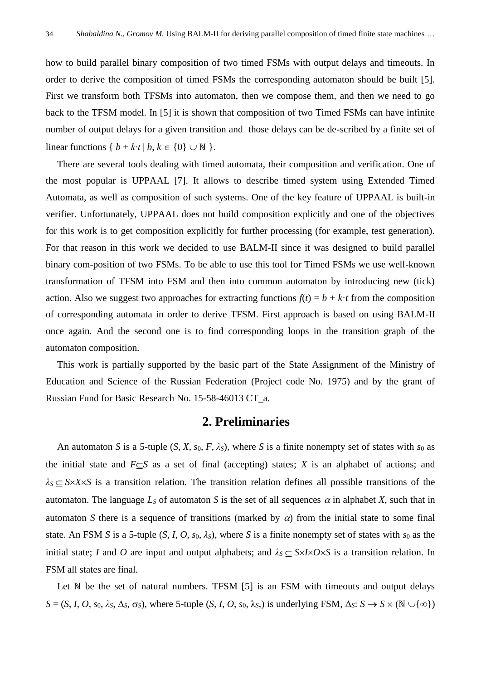how to build parallel binary composition of two timed FSMs with output delays and timeouts. In order to derive the composition of timed FSMs the corresponding automaton should be built [5]. First we transform both TFSMs into automaton, then we compose them, and then we need to go back to the TFSM model. In [5] it is shown that composition of two Timed FSMs can have infinite number of output delays for a given transition and those delays can be de-scribed by a finite set of linear functions {  $b + k \cdot t \mid b, k \in \{0\} \cup \mathbb{N}$  }.

There are several tools dealing with timed automata, their composition and verification. One of the most popular is UPPAAL [7]. It allows to describe timed system using Extended Timed Automata, as well as composition of such systems. One of the key feature of UPPAAL is built-in verifier. Unfortunately, UPPAAL does not build composition explicitly and one of the objectives for this work is to get composition explicitly for further processing (for example, test generation). For that reason in this work we decided to use BALM-II since it was designed to build parallel binary com-position of two FSMs. To be able to use this tool for Timed FSMs we use well-known transformation of TFSM into FSM and then into common automaton by introducing new (tick) action. Also we suggest two approaches for extracting functions  $f(t) = b + k \cdot t$  from the composition of corresponding automata in order to derive TFSM. First approach is based on using BALM-II once again. And the second one is to find corresponding loops in the transition graph of the automaton composition.

This work is partially supported by the basic part of the State Assignment of the Ministry of Education and Science of the Russian Federation (Project code No. 1975) and by the grant of Russian Fund for Basic Research No. 15-58-46013 CT\_a.

# **2. Preliminaries**

An automaton *S* is a 5-tuple  $(S, X, s_0, F, \lambda_S)$ , where *S* is a finite nonempty set of states with  $s_0$  as the initial state and  $F \subset S$  as a set of final (accepting) states; *X* is an alphabet of actions; and  $\lambda$ <sub>S</sub>  $\subset$  *S* $\times$ *X* $\times$ *S* is a transition relation. The transition relation defines all possible transitions of the automaton. The language  $L<sub>S</sub>$  of automaton *S* is the set of all sequences  $\alpha$  in alphabet *X*, such that in automaton *S* there is a sequence of transitions (marked by  $\alpha$ ) from the initial state to some final state. An FSM *S* is a 5-tuple  $(S, I, O, s_0, \lambda_S)$ , where *S* is a finite nonempty set of states with  $s_0$  as the initial state; *I* and *O* are input and output alphabets; and  $\lambda_s \subset S \times I \times O \times S$  is a transition relation. In FSM all states are final.

Let N be the set of natural numbers. TFSM [5] is an FSM with timeouts and output delays  $S = (S, I, O, s_0, \lambda_S, \Delta_S, \sigma_S)$ , where 5-tuple  $(S, I, O, s_0, \lambda_S)$  is underlying FSM,  $\Delta_S: S \to S \times (\mathbb{N} \cup \{\infty\})$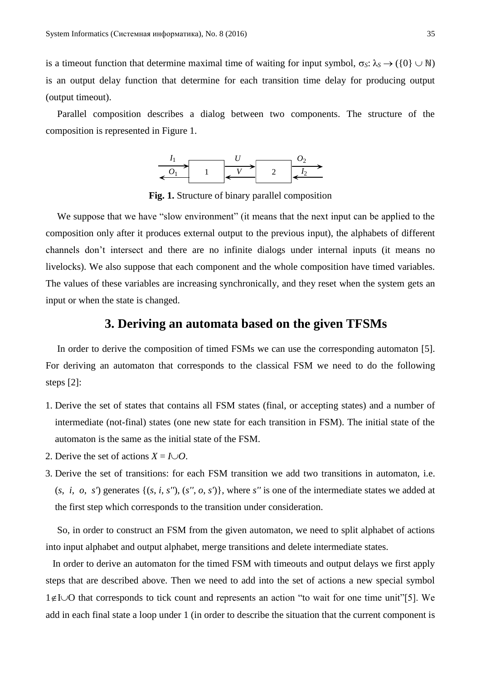is a timeout function that determine maximal time of waiting for input symbol,  $\sigma_S: \lambda_S \to (\{0\} \cup \mathbb{N})$ is an output delay function that determine for each transition time delay for producing output (output timeout).

Parallel composition describes a dialog between two components. The structure of the composition is represented in Figure 1.



**Fig. 1.** Structure of binary parallel composition

We suppose that we have "slow environment" (it means that the next input can be applied to the composition only after it produces external output to the previous input), the alphabets of different channels don't intersect and there are no infinite dialogs under internal inputs (it means no livelocks). We also suppose that each component and the whole composition have timed variables. The values of these variables are increasing synchronically, and they reset when the system gets an input or when the state is changed.

## **3. Deriving an automata based on the given TFSMs**

In order to derive the composition of timed FSMs we can use the corresponding automaton [5]. For deriving an automaton that corresponds to the classical FSM we need to do the following steps [2]:

- 1. Derive the set of states that contains all FSM states (final, or accepting states) and a number of intermediate (not-final) states (one new state for each transition in FSM). The initial state of the automaton is the same as the initial state of the FSM.
- 2. Derive the set of actions  $X = I \cup O$ .
- 3. Derive the set of transitions: for each FSM transition we add two transitions in automaton, i.e.  $(s, i, o, s')$  generates  $\{(s, i, s''), (s'', o, s')\}$ , where *s''* is one of the intermediate states we added at the first step which corresponds to the transition under consideration.

So, in order to construct an FSM from the given automaton, we need to split alphabet of actions into input alphabet and output alphabet, merge transitions and delete intermediate states.

In order to derive an automaton for the timed FSM with timeouts and output delays we first apply steps that are described above. Then we need to add into the set of actions a new special symbol  $1 \notin I \cup O$  that corresponds to tick count and represents an action "to wait for one time unit"[5]. We add in each final state a loop under 1 (in order to describe the situation that the current component is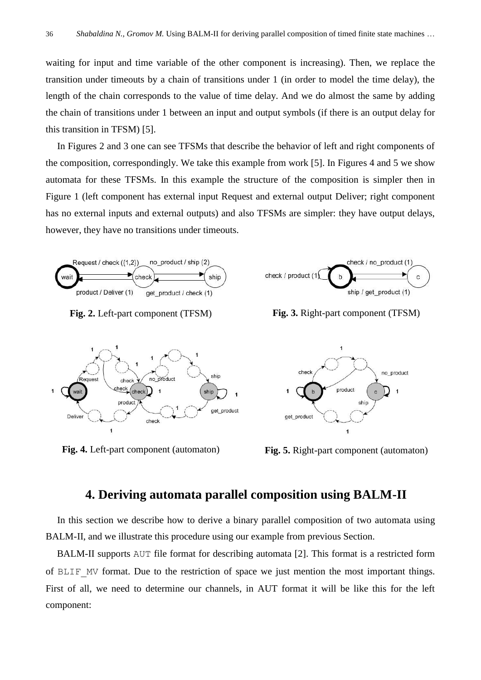waiting for input and time variable of the other component is increasing). Then, we replace the transition under timeouts by a chain of transitions under 1 (in order to model the time delay), the length of the chain corresponds to the value of time delay. And we do almost the same by adding the chain of transitions under 1 between an input and output symbols (if there is an output delay for this transition in TFSM) [5].

In Figures 2 and 3 one can see TFSMs that describe the behavior of left and right components of the composition, correspondingly. We take this example from work [5]. In Figures 4 and 5 we show automata for these TFSMs. In this example the structure of the composition is simpler then in Figure 1 (left component has external input Request and external output Deliver; right component has no external inputs and external outputs) and also TFSMs are simpler: they have output delays, however, they have no transitions under timeouts.



checl check check

produc

Request

Delive

no\_product

 $\overline{\mathbf{1}}$ 

check



**Fig. 2.** Left-part component (TFSM) **Fig. 3.** Right-part component (TFSM)



**Fig. 4.** Left-part component (automaton) **Fig. 5.** Right-part component (automaton)

# **4. Deriving automata parallel composition using BALM-II**

ship

get\_product

ship

In this section we describe how to derive a binary parallel composition of two automata using BALM-II, and we illustrate this procedure using our example from previous Section.

BALM-II supports AUT file format for describing automata [2]. This format is a restricted form of BLIF\_MV format. Due to the restriction of space we just mention the most important things. First of all, we need to determine our channels, in AUT format it will be like this for the left component: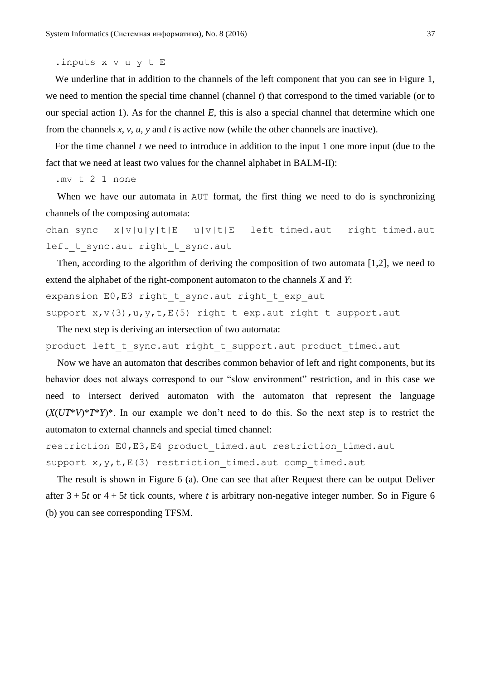.inputs x v u y t E

We underline that in addition to the channels of the left component that you can see in Figure 1, we need to mention the special time channel (channel *t*) that correspond to the timed variable (or to our special action 1). As for the channel *E*, this is also a special channel that determine which one from the channels *x*, *v*, *u*, *y* and *t* is active now (while the other channels are inactive).

For the time channel  $t$  we need to introduce in addition to the input 1 one more input (due to the fact that we need at least two values for the channel alphabet in BALM-II):

.mv t 2 1 none

When we have our automata in AUT format, the first thing we need to do is synchronizing channels of the composing automata:

chan sync  $x|v|u|y|t|E$  u|v|t|E left timed.aut right timed.aut left t sync.aut right t sync.aut

Then, according to the algorithm of deriving the composition of two automata [1,2], we need to extend the alphabet of the right-component automaton to the channels *X* and *Y*:

expansion E0, E3 right t sync.aut right t exp aut

support  $x, v(3)$ ,  $u, y, t, E(5)$  right t exp.aut right t support.aut

The next step is deriving an intersection of two automata:

product left t sync.aut right t support.aut product timed.aut

Now we have an automaton that describes common behavior of left and right components, but its behavior does not always correspond to our "slow environment" restriction, and in this case we need to intersect derived automaton with the automaton that represent the language  $(X(UT^*V)^*T^*Y)^*$ . In our example we don't need to do this. So the next step is to restrict the automaton to external channels and special timed channel:

restriction E0, E3, E4 product timed.aut restriction timed.aut support  $x, y, t, E(3)$  restriction timed.aut comp timed.aut

The result is shown in Figure 6 (a). One can see that after Request there can be output Deliver after  $3 + 5t$  or  $4 + 5t$  tick counts, where *t* is arbitrary non-negative integer number. So in Figure 6 (b) you can see corresponding TFSM.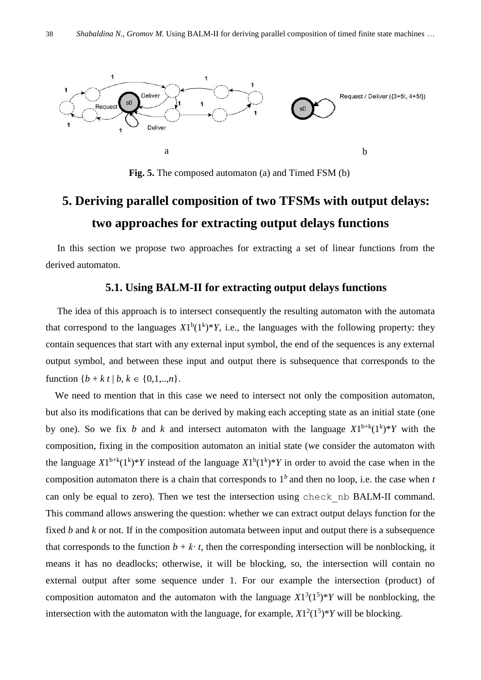

**Fig. 5.** The composed automaton (a) and Timed FSM (b)

# **5. Deriving parallel composition of two TFSMs with output delays: two approaches for extracting output delays functions**

In this section we propose two approaches for extracting a set of linear functions from the derived automaton.

### **5.1. Using BALM-II for extracting output delays functions**

The idea of this approach is to intersect consequently the resulting automaton with the automata that correspond to the languages  $X1^b(1^k)*Y$ , i.e., the languages with the following property: they contain sequences that start with any external input symbol, the end of the sequences is any external output symbol, and between these input and output there is subsequence that corresponds to the function  ${b + k t | b, k \in \{0, 1, \ldots, n\}.}$ 

We need to mention that in this case we need to intersect not only the composition automaton, but also its modifications that can be derived by making each accepting state as an initial state (one by one). So we fix *b* and *k* and intersect automaton with the language  $X1^{b+k}(1^k)^*Y$  with the composition, fixing in the composition automaton an initial state (we consider the automaton with the language  $X1^{b+k}(1^k)*Y$  instead of the language  $X1^b(1^k)*Y$  in order to avoid the case when in the composition automaton there is a chain that corresponds to  $1<sup>b</sup>$  and then no loop, i.e. the case when *t* can only be equal to zero). Then we test the intersection using check\_nb BALM-II command. This command allows answering the question: whether we can extract output delays function for the fixed *b* and *k* or not. If in the composition automata between input and output there is a subsequence that corresponds to the function  $b + k \cdot t$ , then the corresponding intersection will be nonblocking, it means it has no deadlocks; otherwise, it will be blocking, so, the intersection will contain no external output after some sequence under 1. For our example the intersection (product) of composition automaton and the automaton with the language  $X1^3(1^5)^*Y$  will be nonblocking, the intersection with the automaton with the language, for example,  $X1^2(1^5)*Y$  will be blocking.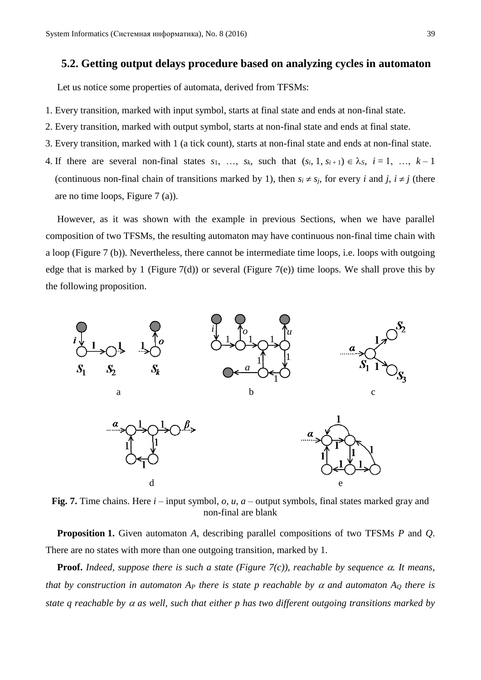### **5.2. Getting output delays procedure based on analyzing cycles in automaton**

Let us notice some properties of automata, derived from TFSMs:

- 1. Every transition, marked with input symbol, starts at final state and ends at non-final state.
- 2. Every transition, marked with output symbol, starts at non-final state and ends at final state.
- 3. Every transition, marked with 1 (a tick count), starts at non-final state and ends at non-final state.
- 4. If there are several non-final states  $s_1$ , ...,  $s_k$ , such that  $(s_i, 1, s_{i+1}) \in \lambda_s$ ,  $i = 1, \ldots, k-1$ (continuous non-final chain of transitions marked by 1), then  $s_i \neq s_j$ , for every *i* and *j*,  $i \neq j$  (there are no time loops, Figure 7 (a)).

However, as it was shown with the example in previous Sections, when we have parallel composition of two TFSMs, the resulting automaton may have continuous non-final time chain with a loop (Figure 7 (b)). Nevertheless, there cannot be intermediate time loops, i.e. loops with outgoing edge that is marked by 1 (Figure 7(d)) or several (Figure 7(e)) time loops. We shall prove this by the following proposition.



**Fig. 7.** Time chains. Here *i* – input symbol, *o*, *u*, *a* – output symbols, final states marked gray and non-final are blank

**Proposition 1.** Given automaton *A*, describing parallel compositions of two TFSMs *P* and *Q*. There are no states with more than one outgoing transition, marked by 1.

**Proof.** *Indeed, suppose there is such a state (Figure 7(c)), reachable by sequence*  $\alpha$ *. It means, that by construction in automaton A<sub>P</sub> there is state p reachable by*  $\alpha$  *and automaton A<sub>Q</sub> there is state q reachable by*  $\alpha$  *as well, such that either p has two different outgoing transitions marked by*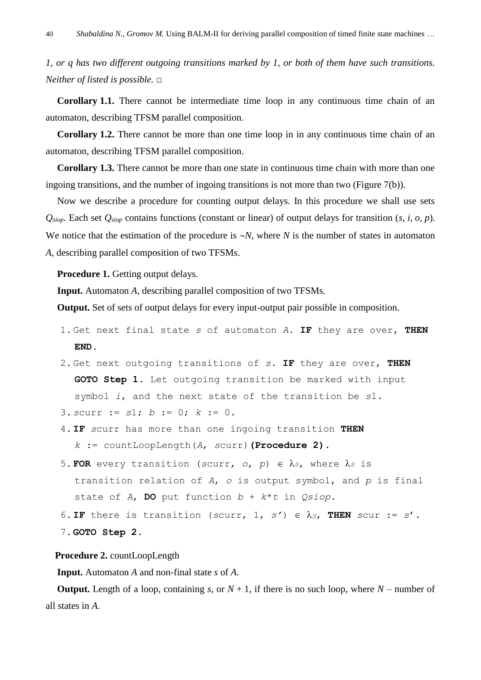*1, or q has two different outgoing transitions marked by 1, or both of them have such transitions. Neither of listed is possible.* □

**Corollary 1.1.** There cannot be intermediate time loop in any continuous time chain of an automaton, describing TFSM parallel composition.

**Corollary 1.2.** There cannot be more than one time loop in in any continuous time chain of an automaton, describing TFSM parallel composition.

**Corollary 1.3.** There cannot be more than one state in continuous time chain with more than one ingoing transitions, and the number of ingoing transitions is not more than two (Figure 7(b)).

Now we describe a procedure for counting output delays. In this procedure we shall use sets *Qsiop*. Each set *Qsiop* contains functions (constant or linear) of output delays for transition (*s*, *i*, *o*, *p*). We notice that the estimation of the procedure is  $\sim N$ , where *N* is the number of states in automaton *A*, describing parallel composition of two TFSMs.

**Procedure 1.** Getting output delays.

**Input.** Automaton *A*, describing parallel composition of two TFSMs.

**Output.** Set of sets of output delays for every input-output pair possible in composition.

- 1.Get next final state *s* of automaton *A*. IF they are over, THEN END.
- 2.Get next outgoing transitions of *s*. IF they are over, THEN GOTO Step 1. Let outgoing transition be marked with input symbol *i*, and the next state of the transition be *s*1.
- 3.*s*curr := *s*1; *b* := 0; *k* := 0.
- 4.IF *s*curr has more than one ingoing transition THEN *k* := countLoopLength(*A*, *s*curr)**(Procedure 2)**.
- 5. FOR every transition (scurr,  $o$ ,  $p$ )  $\in \lambda_s$ , where  $\lambda_s$  is transition relation of *A*, *o* is output symbol, and *p* is final state of *A*, DO put function *b* + *k*\**t* in *Qsiop*.
- 6. IF there is transition (*scurr*, 1,  $s'$ )  $\in \lambda_s$ , THEN *scur* :=  $s'$ .
- 7.GOTO Step 2.

#### **Procedure 2.** countLoopLength

**Input.** Automaton *A* and non-final state *s* of *A*.

**Output.** Length of a loop, containing *s*, or  $N + 1$ , if there is no such loop, where  $N -$  number of all states in *A*.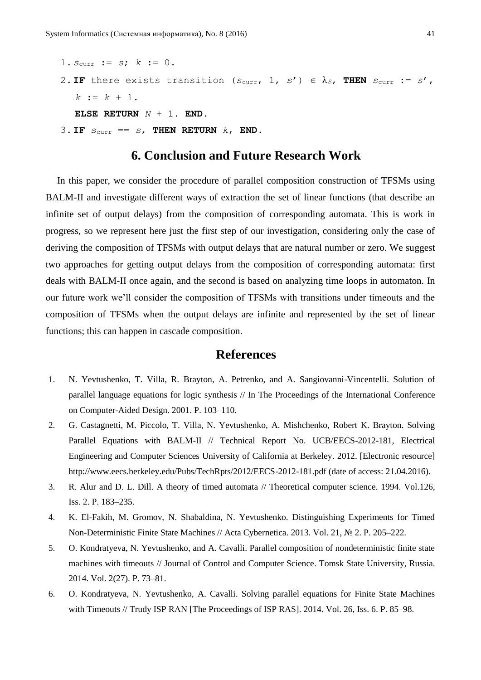1.  $s_{\text{curr}} := s; k := 0$ . 2. IF there exists transition ( $s_{\text{curr}}$ , 1,  $s'$ )  $\in$   $\lambda_s$ , THEN  $s_{\text{curr}} := s'$ ,  $k := k + 1$ . ELSE RETURN *N* + 1. END.

3. IF  $S_{\text{curr}} = S$ , THEN RETURN  $k$ , END.

# **6. Conclusion and Future Research Work**

In this paper, we consider the procedure of parallel composition construction of TFSMs using BALM-II and investigate different ways of extraction the set of linear functions (that describe an infinite set of output delays) from the composition of corresponding automata. This is work in progress, so we represent here just the first step of our investigation, considering only the case of deriving the composition of TFSMs with output delays that are natural number or zero. We suggest two approaches for getting output delays from the composition of corresponding automata: first deals with BALM-II once again, and the second is based on analyzing time loops in automaton. In our future work we'll consider the composition of TFSMs with transitions under timeouts and the composition of TFSMs when the output delays are infinite and represented by the set of linear functions; this can happen in cascade composition.

# **References**

- 1. N. Yevtushenko, T. Villa, R. Brayton, A. Petrenko, and A. Sangiovanni-Vincentelli. Solution of parallel language equations for logic synthesis // In The Proceedings of the International Conference on Computer-Aided Design. 2001. P. 103–110.
- 2. G. Castagnetti, M. Piccolo, T. Villa, N. Yevtushenko, A. Mishchenko, Robert K. Brayton. Solving Parallel Equations with BALM-II // Technical Report No. UCB/EECS-2012-181, Electrical Engineering and Computer Sciences University of California at Berkeley. 2012. [Electronic resource] http://www.eecs.berkeley.edu/Pubs/TechRpts/2012/EECS-2012-181.pdf (date of access: 21.04.2016).
- 3. R. Alur and D. L. Dill. A theory of timed automata // Theoretical computer science. 1994. Vol.126, Iss. 2. P. 183–235.
- 4. K. El-Fakih, M. Gromov, N. Shabaldina, N. Yevtushenko. Distinguishing Experiments for Timed Non-Deterministic Finite State Machines // Acta Cybernetica. 2013. Vol. 21, № 2. P. 205–222.
- 5. O. Kondratyeva, N. Yevtushenko, and A. Cavalli. Parallel composition of nondeterministic finite state machines with timeouts // Journal of Control and Computer Science. Tomsk State University, Russia. 2014. Vol. 2(27). P. 73–81.
- 6. O. Kondratyeva, N. Yevtushenko, A. Cavalli. Solving parallel equations for Finite State Machines with Timeouts // Trudy ISP RAN [The Proceedings of ISP RAS]. 2014. Vol. 26, Iss. 6. P. 85–98.